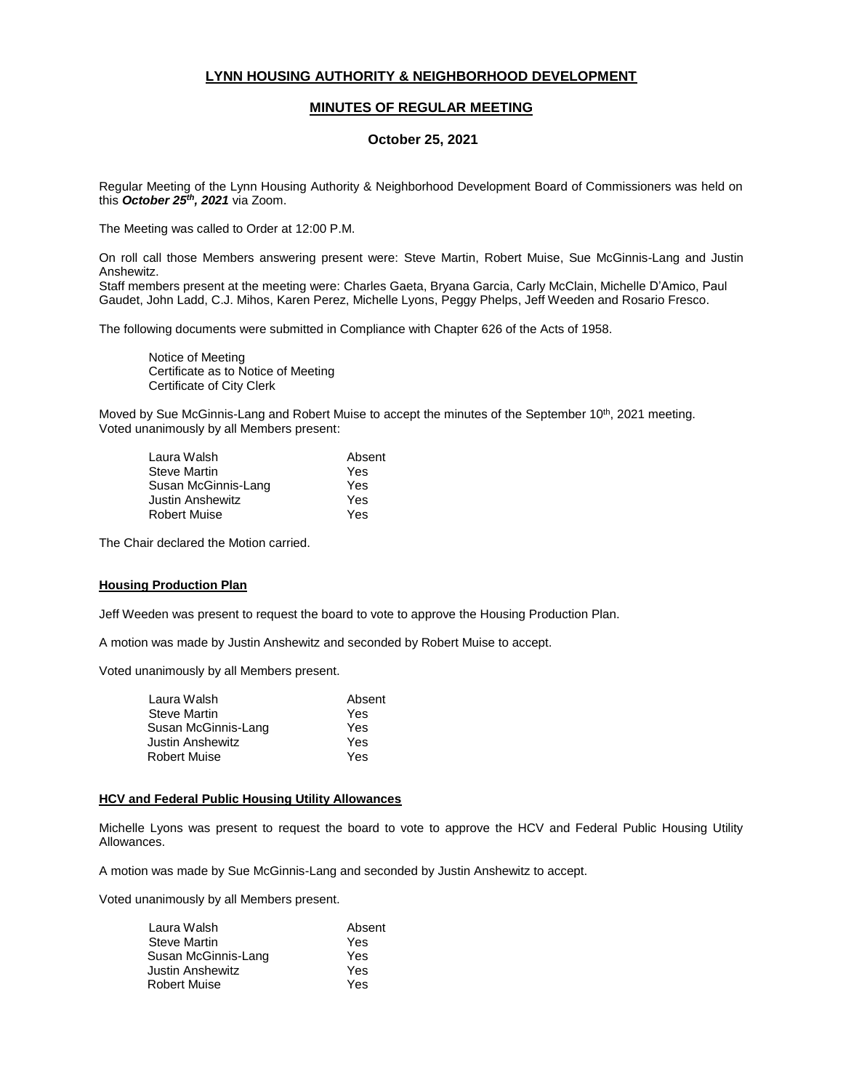# **LYNN HOUSING AUTHORITY & NEIGHBORHOOD DEVELOPMENT**

# **MINUTES OF REGULAR MEETING**

## **October 25, 2021**

Regular Meeting of the Lynn Housing Authority & Neighborhood Development Board of Commissioners was held on this *October 25th, 2021* via Zoom.

The Meeting was called to Order at 12:00 P.M.

On roll call those Members answering present were: Steve Martin, Robert Muise, Sue McGinnis-Lang and Justin Anshewitz.

Staff members present at the meeting were: Charles Gaeta, Bryana Garcia, Carly McClain, Michelle D'Amico, Paul Gaudet, John Ladd, C.J. Mihos, Karen Perez, Michelle Lyons, Peggy Phelps, Jeff Weeden and Rosario Fresco.

The following documents were submitted in Compliance with Chapter 626 of the Acts of 1958.

Notice of Meeting Certificate as to Notice of Meeting Certificate of City Clerk

Moved by Sue McGinnis-Lang and Robert Muise to accept the minutes of the September 10<sup>th</sup>, 2021 meeting. Voted unanimously by all Members present:

| Laura Walsh         | Absent |
|---------------------|--------|
| Steve Martin        | Yes    |
| Susan McGinnis-Lang | Yes    |
| Justin Anshewitz    | Yes    |
| <b>Robert Muise</b> | Yes    |

The Chair declared the Motion carried.

### **Housing Production Plan**

Jeff Weeden was present to request the board to vote to approve the Housing Production Plan.

A motion was made by Justin Anshewitz and seconded by Robert Muise to accept.

Voted unanimously by all Members present.

| Laura Walsh         | Absent |
|---------------------|--------|
| <b>Steve Martin</b> | Yes    |
| Susan McGinnis-Lang | Yes    |
| Justin Anshewitz    | Yes    |
| <b>Robert Muise</b> | Yes    |
|                     |        |

### **HCV and Federal Public Housing Utility Allowances**

Michelle Lyons was present to request the board to vote to approve the HCV and Federal Public Housing Utility Allowances.

A motion was made by Sue McGinnis-Lang and seconded by Justin Anshewitz to accept.

Voted unanimously by all Members present.

| Absent |
|--------|
| Yes    |
| Yes    |
| Yes    |
| Yes    |
|        |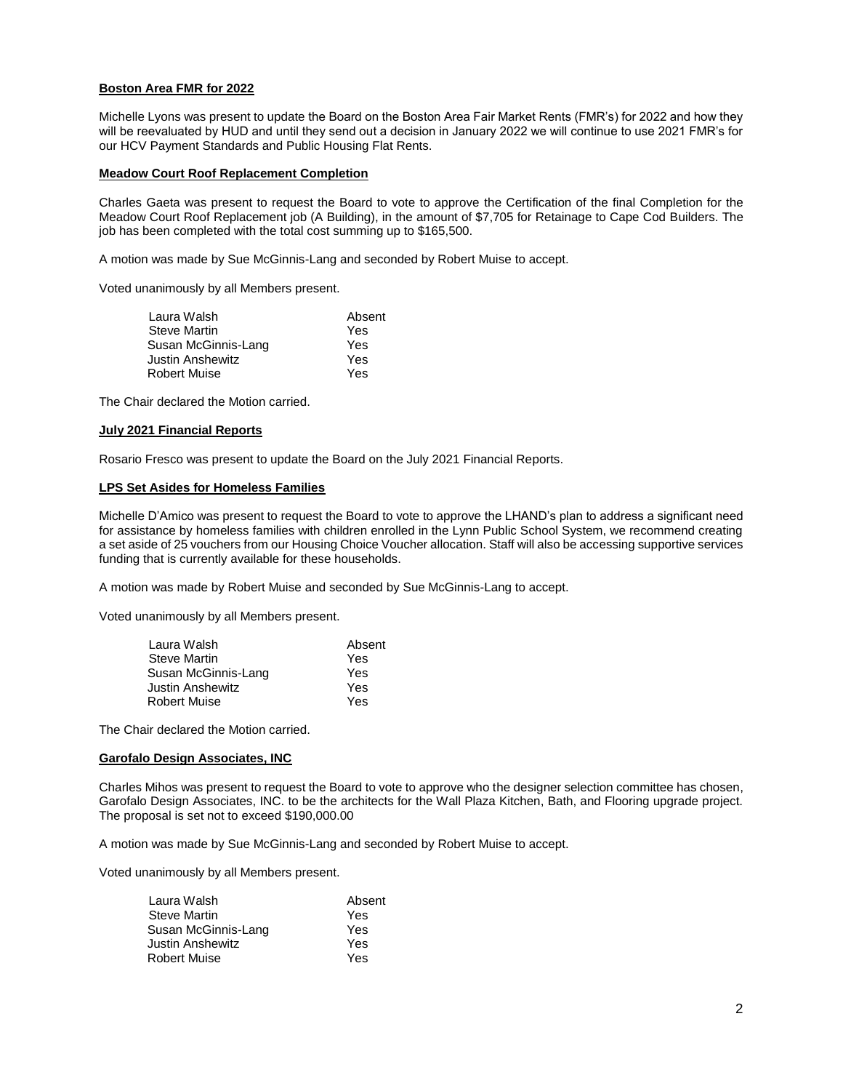# **Boston Area FMR for 2022**

Michelle Lyons was present to update the Board on the Boston Area Fair Market Rents (FMR's) for 2022 and how they will be reevaluated by HUD and until they send out a decision in January 2022 we will continue to use 2021 FMR's for our HCV Payment Standards and Public Housing Flat Rents.

### **Meadow Court Roof Replacement Completion**

Charles Gaeta was present to request the Board to vote to approve the Certification of the final Completion for the Meadow Court Roof Replacement job (A Building), in the amount of \$7,705 for Retainage to Cape Cod Builders. The job has been completed with the total cost summing up to \$165,500.

A motion was made by Sue McGinnis-Lang and seconded by Robert Muise to accept.

Voted unanimously by all Members present.

| Laura Walsh         | Absent |
|---------------------|--------|
| <b>Steve Martin</b> | Yes    |
| Susan McGinnis-Lang | Yes    |
| Justin Anshewitz    | Yes    |
| <b>Robert Muise</b> | Yes    |

The Chair declared the Motion carried.

### **July 2021 Financial Reports**

Rosario Fresco was present to update the Board on the July 2021 Financial Reports.

### **LPS Set Asides for Homeless Families**

Michelle D'Amico was present to request the Board to vote to approve the LHAND's plan to address a significant need for assistance by homeless families with children enrolled in the Lynn Public School System, we recommend creating a set aside of 25 vouchers from our Housing Choice Voucher allocation. Staff will also be accessing supportive services funding that is currently available for these households.

A motion was made by Robert Muise and seconded by Sue McGinnis-Lang to accept.

Voted unanimously by all Members present.

| Laura Walsh         | Absent |
|---------------------|--------|
| <b>Steve Martin</b> | Yes    |
| Susan McGinnis-Lang | Yes    |
| Justin Anshewitz    | Yes    |
| <b>Robert Muise</b> | Yes    |

The Chair declared the Motion carried.

### **Garofalo Design Associates, INC**

Charles Mihos was present to request the Board to vote to approve who the designer selection committee has chosen, Garofalo Design Associates, INC. to be the architects for the Wall Plaza Kitchen, Bath, and Flooring upgrade project. The proposal is set not to exceed \$190,000.00

A motion was made by Sue McGinnis-Lang and seconded by Robert Muise to accept.

Voted unanimously by all Members present.

| Laura Walsh         | Absent |
|---------------------|--------|
| <b>Steve Martin</b> | Yes    |
| Susan McGinnis-Lang | Yes    |
| Justin Anshewitz    | Yes    |
| <b>Robert Muise</b> | Yes    |
|                     |        |